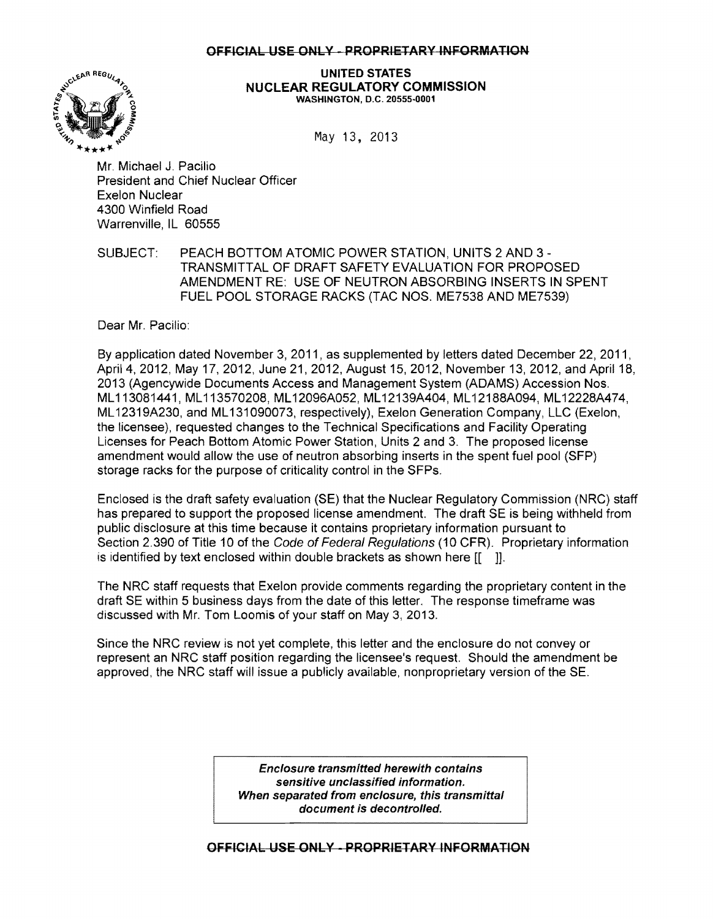## OFFICIAL USE ONLY - PROPRIETARY INFORMATION



UNITED STATES NUCLEAR REGULATORY COMMISSION WASHINGTON, D.C. 20555-0001

May 13, 2013

Mr. Michael J. Pacilio President and Chief Nuclear Officer Exelon Nuclear 4300 Winfield Road Warrenville, IL 60555

SUBJECT: PEACH BOTTOM ATOMIC POWER STATION, UNITS 2 AND 3 -TRANSMITTAL OF DRAFT SAFETY EVALUATION FOR PROPOSED AMENDMENT RE: USE OF NEUTRON ABSORBING INSERTS IN SPENT FUEL POOL STORAGE RACKS (TAC NOS. ME7538 AND ME7539)

Dear Mr. Pacilio:

By application dated November 3, 2011, as supplemented by letters dated December 22, 2011, April 4, 2012, May 17, 2012, June 21, 2012, August 15, 2012, November 13, 2012, and April 18, 2013 (Agencywide Documents Access and Management System (ADAMS) Accession Nos. ML113081441, ML113570208, ML12096A052, ML12139A404, ML12188A094, ML12228A474, ML12319A230, and ML131090073, respectively), Exelon Generation Company, LLC (Exelon, the licensee), requested changes to the Technical Specifications and Facility Operating Licenses for Peach Bottom Atomic Power Station, Units 2 and 3. The proposed license amendment would allow the use of neutron absorbing inserts in the spent fuel pool (SFP) storage racks for the purpose of criticality control in the SFPs.

Enclosed is the draft safety evaluation (SE) that the Nuclear Regulatory Commission (NRC) staff has prepared to support the proposed license amendment. The draft SE is being withheld from public disclosure at this time because it contains proprietary information pursuant to Section 2.390 of Title 10 of the Code of Federal Regulations (10 CFR). Proprietary information is identified by text enclosed within double brackets as shown here  $[1 \quad ]]$ .

The NRC staff requests that Exelon provide comments regarding the proprietary content in the draft SE within 5 business days from the date of this letter. The response timeframe was discussed with Mr. Tom Loomis of your staff on May 3, 2013.

Since the NRC review is not yet complete, this letter and the enclosure do not conveyor represent an NRC staff position regarding the licensee's request. Should the amendment be approved, the NRC staff will issue a publicly available, nonproprietary version of the SE.

> Enclosure transmitted herewith contains sensitive unclassified information. When separated from enclosure, this transmittal document is decontrolled.

## OFFICIAL USE ONLY - PROPRIETARY INFORMATION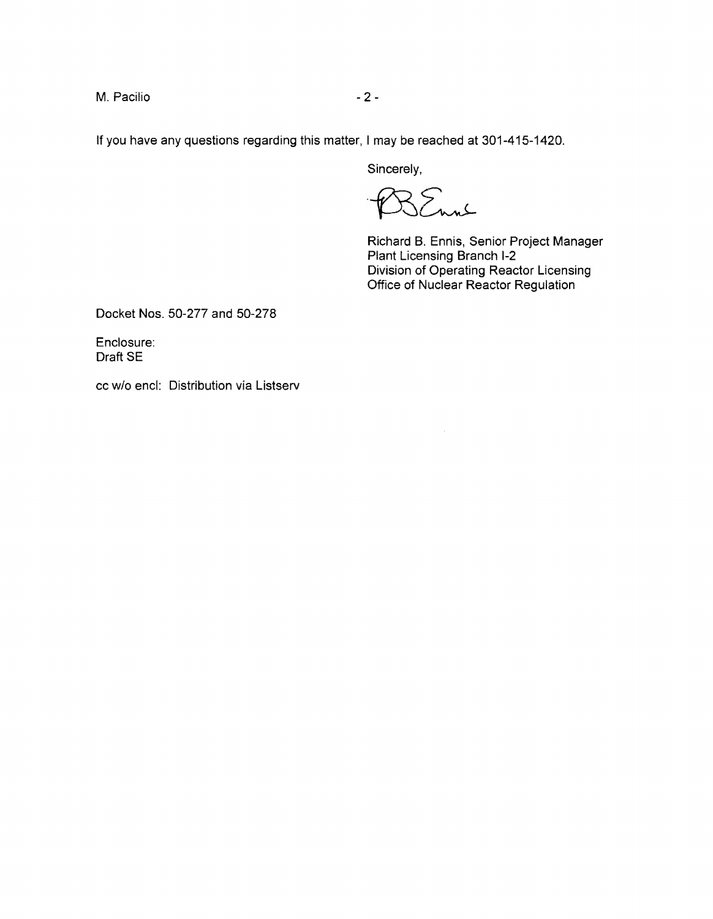M. Pacilio - 2

If you have any questions regarding this matter, I may be reached at 301-415-1420.

Sincerely,

SEnne

 $\sim$ 

Richard B. Ennis, Senior Project Manager Plant Licensing Branch 1-2 Division of Operating Reactor Licensing Office of Nuclear Reactor Regulation

Docket Nos. 50-277 and 50-278

Enclosure: Draft SE

cc w/o end: Distribution via Listserv